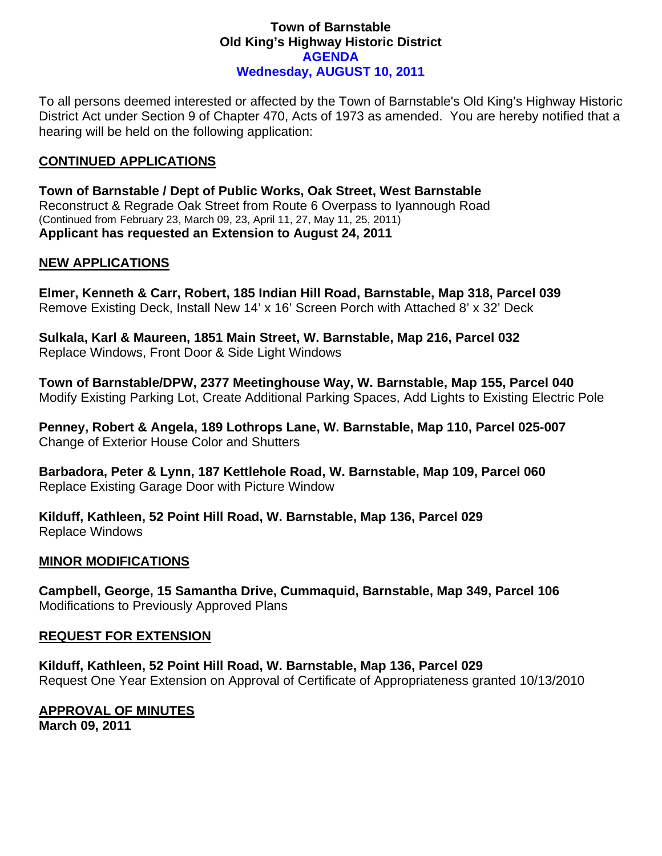### **Town of Barnstable Old King's Highway Historic District AGENDA Wednesday, AUGUST 10, 2011**

To all persons deemed interested or affected by the Town of Barnstable's Old King's Highway Historic District Act under Section 9 of Chapter 470, Acts of 1973 as amended. You are hereby notified that a hearing will be held on the following application:

### **CONTINUED APPLICATIONS**

**Town of Barnstable / Dept of Public Works, Oak Street, West Barnstable**  Reconstruct & Regrade Oak Street from Route 6 Overpass to Iyannough Road (Continued from February 23, March 09, 23, April 11, 27, May 11, 25, 2011) **Applicant has requested an Extension to August 24, 2011** 

# **NEW APPLICATIONS**

**Elmer, Kenneth & Carr, Robert, 185 Indian Hill Road, Barnstable, Map 318, Parcel 039**  Remove Existing Deck, Install New 14' x 16' Screen Porch with Attached 8' x 32' Deck

**Sulkala, Karl & Maureen, 1851 Main Street, W. Barnstable, Map 216, Parcel 032**  Replace Windows, Front Door & Side Light Windows

**Town of Barnstable/DPW, 2377 Meetinghouse Way, W. Barnstable, Map 155, Parcel 040**  Modify Existing Parking Lot, Create Additional Parking Spaces, Add Lights to Existing Electric Pole

**Penney, Robert & Angela, 189 Lothrops Lane, W. Barnstable, Map 110, Parcel 025-007**  Change of Exterior House Color and Shutters

**Barbadora, Peter & Lynn, 187 Kettlehole Road, W. Barnstable, Map 109, Parcel 060**  Replace Existing Garage Door with Picture Window

**Kilduff, Kathleen, 52 Point Hill Road, W. Barnstable, Map 136, Parcel 029**  Replace Windows

#### **MINOR MODIFICATIONS**

**Campbell, George, 15 Samantha Drive, Cummaquid, Barnstable, Map 349, Parcel 106**  Modifications to Previously Approved Plans

#### **REQUEST FOR EXTENSION**

**Kilduff, Kathleen, 52 Point Hill Road, W. Barnstable, Map 136, Parcel 029**  Request One Year Extension on Approval of Certificate of Appropriateness granted 10/13/2010

# **APPROVAL OF MINUTES**

**March 09, 2011**